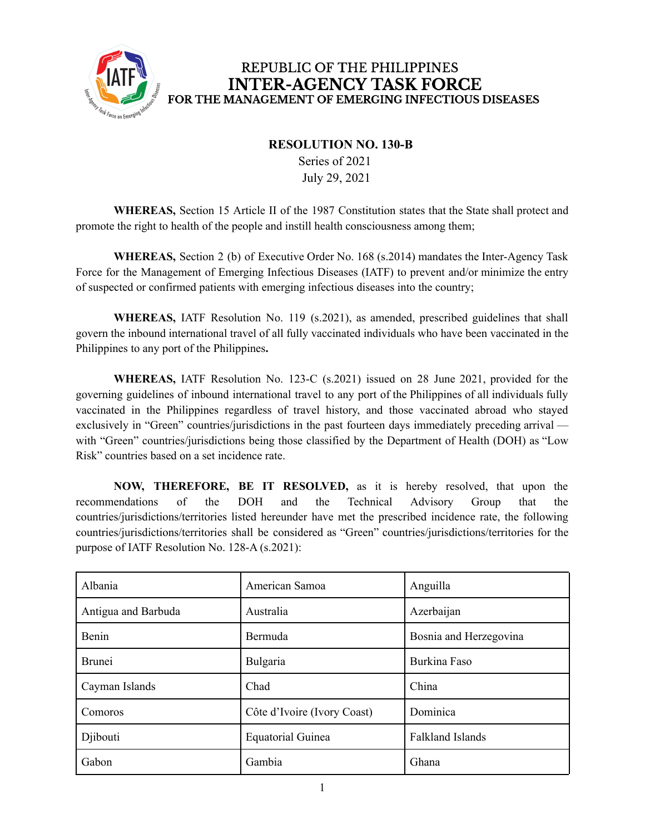

## REPUBLIC OF THE PHILIPPINES **INTER-AGENCY TASK FORCE** FOR THE MANAGEMENT OF EMERGING INFECTIOUS DISEASES

## **RESOLUTION NO. 130-B**

Series of 2021 July 29, 2021

**WHEREAS,** Section 15 Article II of the 1987 Constitution states that the State shall protect and promote the right to health of the people and instill health consciousness among them;

**WHEREAS,** Section 2 (b) of Executive Order No. 168 (s.2014) mandates the Inter-Agency Task Force for the Management of Emerging Infectious Diseases (IATF) to prevent and/or minimize the entry of suspected or confirmed patients with emerging infectious diseases into the country;

**WHEREAS,** IATF Resolution No. 119 (s.2021), as amended, prescribed guidelines that shall govern the inbound international travel of all fully vaccinated individuals who have been vaccinated in the Philippines to any port of the Philippines**.**

**WHEREAS,** IATF Resolution No. 123-C (s.2021) issued on 28 June 2021, provided for the governing guidelines of inbound international travel to any port of the Philippines of all individuals fully vaccinated in the Philippines regardless of travel history, and those vaccinated abroad who stayed exclusively in "Green" countries/jurisdictions in the past fourteen days immediately preceding arrival with "Green" countries/jurisdictions being those classified by the Department of Health (DOH) as "Low Risk" countries based on a set incidence rate.

**NOW, THEREFORE, BE IT RESOLVED,** as it is hereby resolved, that upon the recommendations of the DOH and the Technical Advisory Group that the countries/jurisdictions/territories listed hereunder have met the prescribed incidence rate, the following countries/jurisdictions/territories shall be considered as "Green" countries/jurisdictions/territories for the purpose of IATF Resolution No. 128-A (s.2021):

| Albania             | American Samoa              | Anguilla                |
|---------------------|-----------------------------|-------------------------|
| Antigua and Barbuda | Australia                   | Azerbaijan              |
| Benin               | Bermuda                     | Bosnia and Herzegovina  |
| <b>Brunei</b>       | Bulgaria                    | Burkina Faso            |
| Cayman Islands      | Chad                        | China                   |
| Comoros             | Côte d'Ivoire (Ivory Coast) | Dominica                |
| Djibouti            | Equatorial Guinea           | <b>Falkland Islands</b> |
| Gabon               | Gambia                      | Ghana                   |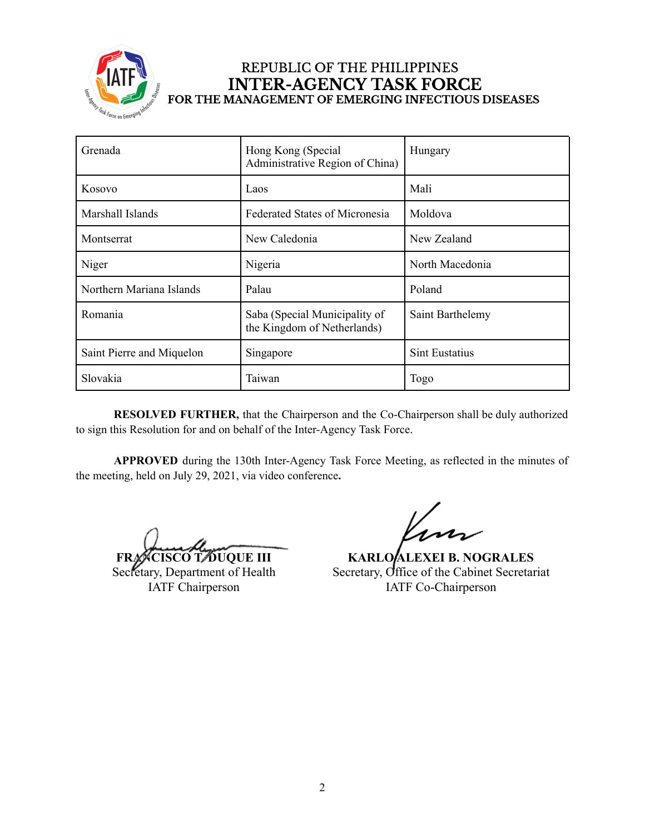

## REPUBLIC OF THE PHILIPPINES **INTER-AGENCY TASK FORCE** FOR THE MANAGEMENT OF EMERGING INFECTIOUS DISEASES

| Grenada                   | Hong Kong (Special<br>Administrative Region of China)        | Hungary               |
|---------------------------|--------------------------------------------------------------|-----------------------|
| Kosovo                    | Laos                                                         | Mali                  |
| Marshall Islands          | <b>Federated States of Micronesia</b>                        | Moldova               |
| Montserrat                | New Caledonia                                                | New Zealand           |
| Niger                     | Nigeria                                                      | North Macedonia       |
| Northern Mariana Islands  | Palau                                                        | Poland                |
| Romania                   | Saba (Special Municipality of<br>the Kingdom of Netherlands) | Saint Barthelemy      |
| Saint Pierre and Miquelon | Singapore                                                    | <b>Sint Eustatius</b> |
| Slovakia                  | Taiwan                                                       | Togo                  |

**RESOLVED FURTHER,** that the Chairperson and the Co-Chairperson shall be duly authorized to sign this Resolution for and on behalf of the Inter-Agency Task Force.

**APPROVED** during the 130th Inter-Agency Task Force Meeting, as reflected in the minutes of the meeting, held on July 29, 2021, via video conference**.**

**FRANCISCO T. DUQUE III**

Secretary, Department of Health IATF Chairperson

**KARLO ALEXEI B. NOGRALES** Secretary, Office of the Cabinet Secretariat IATF Co-Chairperson